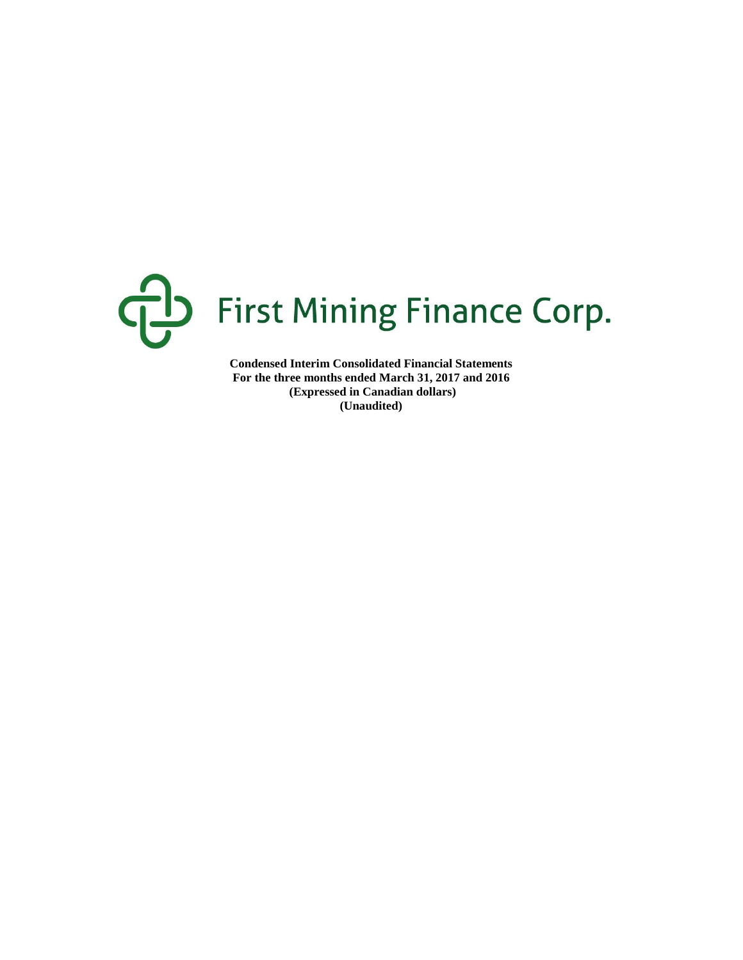

**Condensed Interim Consolidated Financial Statements For the three months ended March 31, 2017 and 2016 (Expressed in Canadian dollars) (Unaudited)**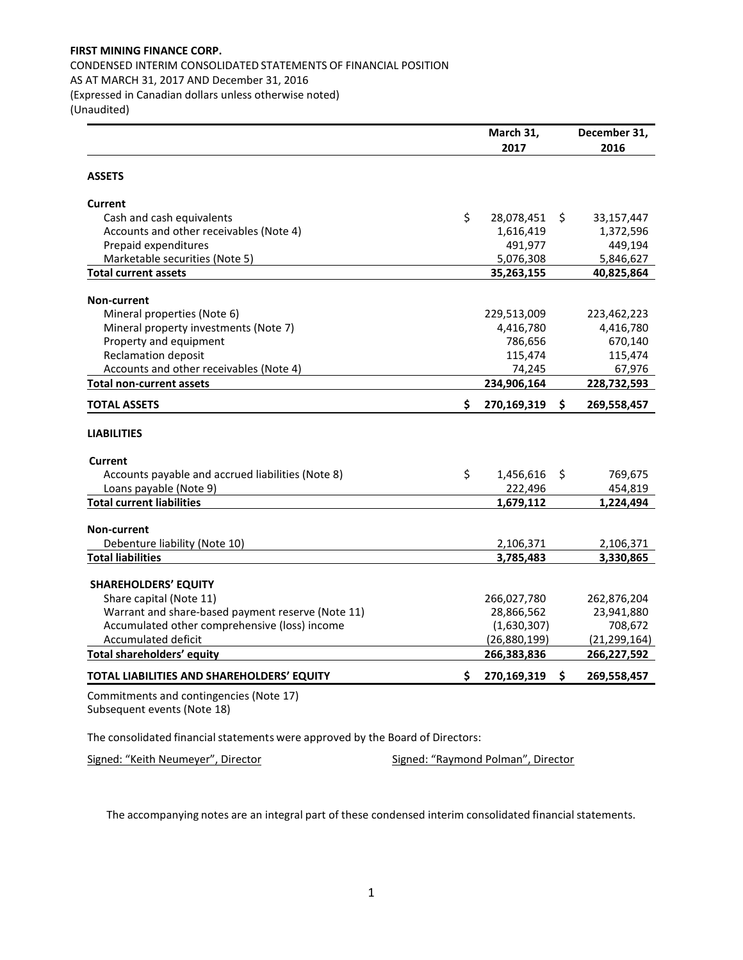CONDENSED INTERIM CONSOLIDATED STATEMENTS OF FINANCIAL POSITION

AS AT MARCH 31, 2017 AND December 31, 2016

(Expressed in Canadian dollars unless otherwise noted)

(Unaudited)

|                                                   | March 31,<br>2017 | December 31,<br>2016 |
|---------------------------------------------------|-------------------|----------------------|
|                                                   |                   |                      |
| <b>ASSETS</b>                                     |                   |                      |
| <b>Current</b>                                    |                   |                      |
| Cash and cash equivalents                         | \$<br>28,078,451  | \$<br>33,157,447     |
| Accounts and other receivables (Note 4)           | 1,616,419         | 1,372,596            |
| Prepaid expenditures                              | 491,977           | 449,194              |
| Marketable securities (Note 5)                    | 5,076,308         | 5,846,627            |
| <b>Total current assets</b>                       | 35,263,155        | 40,825,864           |
| <b>Non-current</b>                                |                   |                      |
| Mineral properties (Note 6)                       | 229,513,009       | 223,462,223          |
| Mineral property investments (Note 7)             | 4,416,780         | 4,416,780            |
| Property and equipment                            | 786,656           | 670,140              |
| <b>Reclamation deposit</b>                        | 115,474           | 115,474              |
| Accounts and other receivables (Note 4)           | 74,245            | 67,976               |
| <b>Total non-current assets</b>                   | 234,906,164       | 228,732,593          |
| <b>TOTAL ASSETS</b>                               | \$<br>270,169,319 | \$<br>269,558,457    |
| <b>LIABILITIES</b>                                |                   |                      |
| <b>Current</b>                                    |                   |                      |
| Accounts payable and accrued liabilities (Note 8) | \$<br>1,456,616   | \$<br>769,675        |
| Loans payable (Note 9)                            | 222,496           | 454,819              |
| <b>Total current liabilities</b>                  | 1,679,112         | 1,224,494            |
| <b>Non-current</b>                                |                   |                      |
| Debenture liability (Note 10)                     | 2,106,371         | 2,106,371            |
| <b>Total liabilities</b>                          | 3,785,483         | 3,330,865            |
| <b>SHAREHOLDERS' EQUITY</b>                       |                   |                      |
| Share capital (Note 11)                           | 266,027,780       | 262,876,204          |
| Warrant and share-based payment reserve (Note 11) | 28,866,562        | 23,941,880           |
| Accumulated other comprehensive (loss) income     | (1,630,307)       | 708,672              |
| Accumulated deficit                               | (26,880,199)      | (21, 299, 164)       |
| <b>Total shareholders' equity</b>                 | 266,383,836       | 266,227,592          |
| TOTAL LIABILITIES AND SHAREHOLDERS' EQUITY        | \$<br>270,169,319 | \$<br>269,558,457    |
| Commitments and contingencies (Note 17)           |                   |                      |

Subsequent events (Note 18)

The consolidated financial statements were approved by the Board of Directors:

Signed: "Keith Neumeyer", Director Signed: "Raymond Polman", Director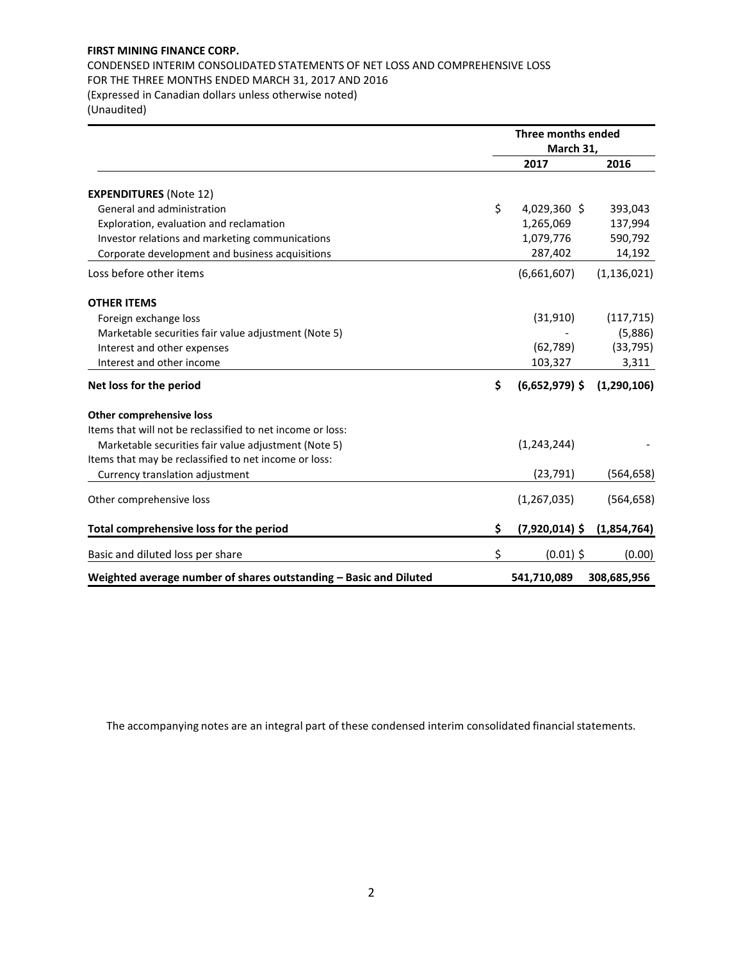# CONDENSED INTERIM CONSOLIDATED STATEMENTS OF NET LOSS AND COMPREHENSIVE LOSS FOR THE THREE MONTHS ENDED MARCH 31, 2017 AND 2016

(Expressed in Canadian dollars unless otherwise noted)

(Unaudited)

|                                                                   | <b>Three months ended</b> |               |
|-------------------------------------------------------------------|---------------------------|---------------|
|                                                                   | March 31,                 |               |
|                                                                   | 2017                      | 2016          |
| <b>EXPENDITURES (Note 12)</b>                                     |                           |               |
| General and administration                                        | \$<br>4,029,360 \$        | 393,043       |
| Exploration, evaluation and reclamation                           | 1,265,069                 | 137,994       |
| Investor relations and marketing communications                   | 1,079,776                 | 590,792       |
| Corporate development and business acquisitions                   | 287,402                   | 14,192        |
| Loss before other items                                           | (6,661,607)               | (1, 136, 021) |
| <b>OTHER ITEMS</b>                                                |                           |               |
| Foreign exchange loss                                             | (31, 910)                 | (117, 715)    |
| Marketable securities fair value adjustment (Note 5)              |                           | (5,886)       |
| Interest and other expenses                                       | (62, 789)                 | (33, 795)     |
| Interest and other income                                         | 103,327                   | 3,311         |
| Net loss for the period                                           | \$<br>$(6,652,979)$ \$    | (1, 290, 106) |
| <b>Other comprehensive loss</b>                                   |                           |               |
| Items that will not be reclassified to net income or loss:        |                           |               |
| Marketable securities fair value adjustment (Note 5)              | (1, 243, 244)             |               |
| Items that may be reclassified to net income or loss:             |                           |               |
| Currency translation adjustment                                   | (23, 791)                 | (564, 658)    |
| Other comprehensive loss                                          | (1, 267, 035)             | (564, 658)    |
| Total comprehensive loss for the period                           | \$<br>$(7,920,014)$ \$    | (1,854,764)   |
| Basic and diluted loss per share                                  | \$<br>$(0.01)$ \$         | (0.00)        |
| Weighted average number of shares outstanding - Basic and Diluted | 541,710,089               | 308,685,956   |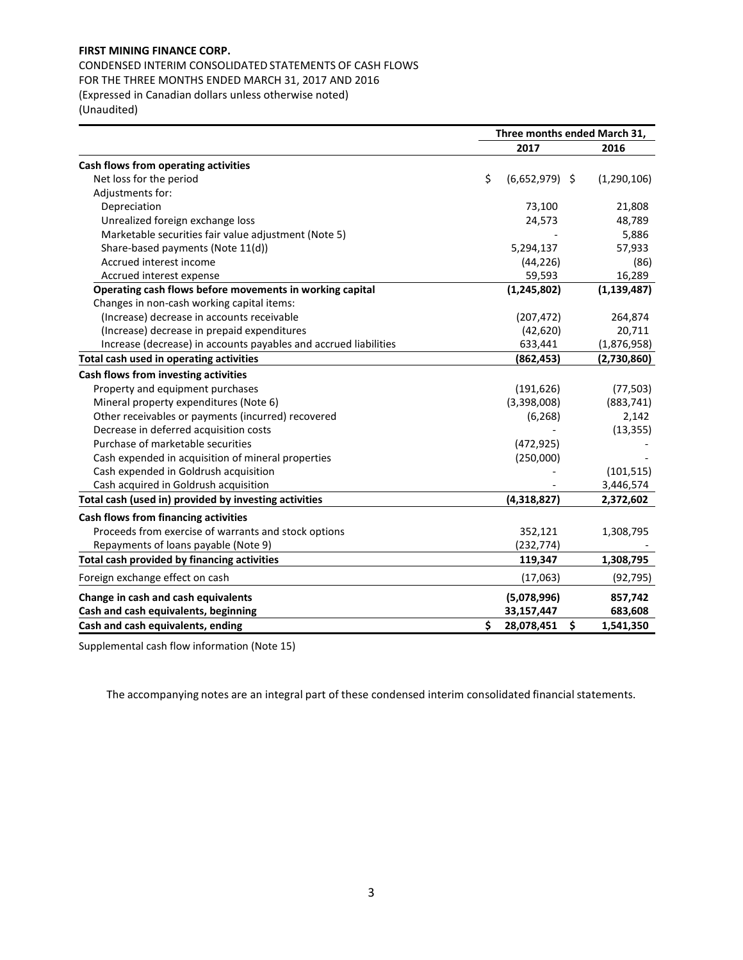CONDENSED INTERIM CONSOLIDATED STATEMENTS OF CASH FLOWS FOR THE THREE MONTHS ENDED MARCH 31, 2017 AND 2016

(Expressed in Canadian dollars unless otherwise noted) (Unaudited)

|                                                                  | Three months ended March 31, |                  |    |               |  |  |  |
|------------------------------------------------------------------|------------------------------|------------------|----|---------------|--|--|--|
|                                                                  |                              | 2017             |    | 2016          |  |  |  |
| Cash flows from operating activities                             |                              |                  |    |               |  |  |  |
| Net loss for the period                                          | \$                           | $(6,652,979)$ \$ |    | (1, 290, 106) |  |  |  |
| Adjustments for:                                                 |                              |                  |    |               |  |  |  |
| Depreciation                                                     |                              | 73,100           |    | 21,808        |  |  |  |
| Unrealized foreign exchange loss                                 |                              | 24,573           |    | 48,789        |  |  |  |
| Marketable securities fair value adjustment (Note 5)             |                              |                  |    | 5,886         |  |  |  |
| Share-based payments (Note 11(d))                                |                              | 5,294,137        |    | 57,933        |  |  |  |
| Accrued interest income                                          |                              | (44, 226)        |    | (86)          |  |  |  |
| Accrued interest expense                                         |                              | 59,593           |    | 16,289        |  |  |  |
| Operating cash flows before movements in working capital         |                              | (1, 245, 802)    |    | (1, 139, 487) |  |  |  |
| Changes in non-cash working capital items:                       |                              |                  |    |               |  |  |  |
| (Increase) decrease in accounts receivable                       |                              | (207, 472)       |    | 264,874       |  |  |  |
| (Increase) decrease in prepaid expenditures                      |                              | (42, 620)        |    | 20,711        |  |  |  |
| Increase (decrease) in accounts payables and accrued liabilities |                              | 633,441          |    | (1,876,958)   |  |  |  |
| Total cash used in operating activities                          |                              | (862, 453)       |    | (2,730,860)   |  |  |  |
| Cash flows from investing activities                             |                              |                  |    |               |  |  |  |
| Property and equipment purchases                                 |                              | (191, 626)       |    | (77, 503)     |  |  |  |
| Mineral property expenditures (Note 6)                           |                              | (3,398,008)      |    | (883, 741)    |  |  |  |
| Other receivables or payments (incurred) recovered               |                              | (6, 268)         |    | 2,142         |  |  |  |
| Decrease in deferred acquisition costs                           |                              |                  |    | (13, 355)     |  |  |  |
| Purchase of marketable securities                                |                              | (472, 925)       |    |               |  |  |  |
| Cash expended in acquisition of mineral properties               |                              | (250,000)        |    |               |  |  |  |
| Cash expended in Goldrush acquisition                            |                              |                  |    | (101, 515)    |  |  |  |
| Cash acquired in Goldrush acquisition                            |                              |                  |    | 3,446,574     |  |  |  |
| Total cash (used in) provided by investing activities            |                              | (4,318,827)      |    | 2,372,602     |  |  |  |
| Cash flows from financing activities                             |                              |                  |    |               |  |  |  |
| Proceeds from exercise of warrants and stock options             |                              | 352,121          |    | 1,308,795     |  |  |  |
| Repayments of loans payable (Note 9)                             |                              | (232, 774)       |    |               |  |  |  |
| Total cash provided by financing activities                      |                              | 119,347          |    | 1,308,795     |  |  |  |
| Foreign exchange effect on cash                                  |                              | (17,063)         |    | (92, 795)     |  |  |  |
| Change in cash and cash equivalents                              |                              | (5,078,996)      |    | 857,742       |  |  |  |
| Cash and cash equivalents, beginning                             |                              | 33,157,447       |    | 683,608       |  |  |  |
| Cash and cash equivalents, ending                                | \$                           | 28,078,451       | \$ | 1,541,350     |  |  |  |

Supplemental cash flow information (Note 15)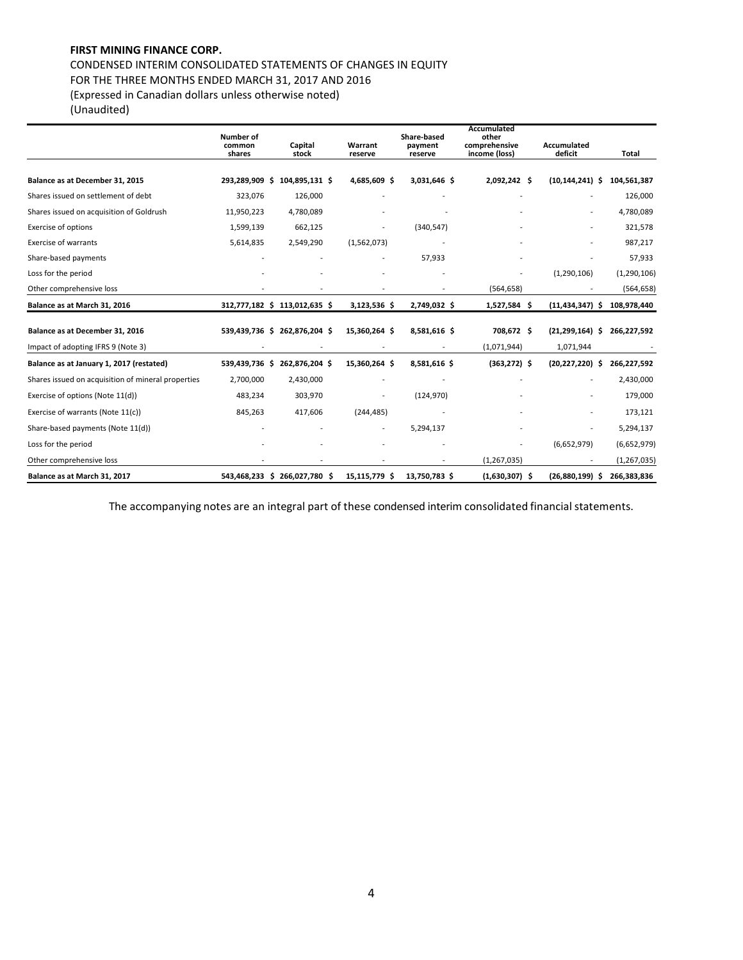CONDENSED INTERIM CONSOLIDATED STATEMENTS OF CHANGES IN EQUITY FOR THE THREE MONTHS ENDED MARCH 31, 2017 AND 2016 (Expressed in Canadian dollars unless otherwise noted)

(Unaudited)

|                                                    | Number of<br>common<br>shares | Capital<br>stock              | Warrant<br>reserve       | Share-based<br>payment<br>reserve | Accumulated<br>other<br>comprehensive<br>income (loss) | Accumulated<br>deficit | Total         |
|----------------------------------------------------|-------------------------------|-------------------------------|--------------------------|-----------------------------------|--------------------------------------------------------|------------------------|---------------|
| Balance as at December 31, 2015                    | 293,289,909<br>- \$           | 104,895,131 \$                | 4,685,609 \$             | 3,031,646 \$                      | 2,092,242 \$                                           | $(10, 144, 241)$ \$    | 104,561,387   |
| Shares issued on settlement of debt                | 323,076                       | 126,000                       |                          |                                   |                                                        |                        | 126,000       |
| Shares issued on acquisition of Goldrush           | 11,950,223                    | 4,780,089                     |                          |                                   |                                                        |                        | 4,780,089     |
| <b>Exercise of options</b>                         | 1,599,139                     | 662,125                       | $\overline{\phantom{a}}$ | (340, 547)                        |                                                        |                        | 321,578       |
| <b>Exercise of warrants</b>                        | 5,614,835                     | 2,549,290                     | (1,562,073)              |                                   |                                                        |                        | 987,217       |
| Share-based payments                               |                               |                               |                          | 57,933                            |                                                        |                        | 57,933        |
| Loss for the period                                |                               |                               |                          |                                   |                                                        | (1,290,106)            | (1, 290, 106) |
| Other comprehensive loss                           |                               |                               |                          | $\overline{\phantom{a}}$          | (564, 658)                                             |                        | (564, 658)    |
| Balance as at March 31, 2016                       |                               | 312,777,182 \$ 113,012,635 \$ | 3,123,536 \$             | 2,749,032 \$                      | 1,527,584 \$                                           | $(11, 434, 347)$ \$    | 108,978,440   |
| Balance as at December 31, 2016                    |                               | 539,439,736 \$ 262,876,204 \$ | 15,360,264 \$            | 8,581,616 \$                      | 708,672 \$                                             | $(21, 299, 164)$ \$    | 266,227,592   |
| Impact of adopting IFRS 9 (Note 3)                 |                               |                               |                          |                                   | (1,071,944)                                            | 1,071,944              |               |
| Balance as at January 1, 2017 (restated)           | 539,439,736 \$                | 262,876,204 \$                | 15,360,264 \$            | 8,581,616 \$                      | $(363, 272)$ \$                                        | $(20, 227, 220)$ \$    | 266,227,592   |
| Shares issued on acquisition of mineral properties | 2,700,000                     | 2,430,000                     |                          |                                   |                                                        |                        | 2,430,000     |
| Exercise of options (Note 11(d))                   | 483,234                       | 303,970                       |                          | (124, 970)                        |                                                        |                        | 179,000       |
| Exercise of warrants (Note 11(c))                  | 845,263                       | 417,606                       | (244, 485)               |                                   |                                                        |                        | 173,121       |
| Share-based payments (Note 11(d))                  |                               |                               | $\overline{\phantom{a}}$ | 5,294,137                         |                                                        |                        | 5,294,137     |
| Loss for the period                                |                               |                               |                          |                                   |                                                        | (6,652,979)            | (6,652,979)   |
| Other comprehensive loss                           |                               |                               |                          |                                   | (1, 267, 035)                                          |                        | (1, 267, 035) |
| Balance as at March 31, 2017                       |                               | 543,468,233 \$ 266,027,780 \$ | 15,115,779 \$            | 13,750,783 \$                     | $(1,630,307)$ \$                                       | $(26,880,199)$ \$      | 266,383,836   |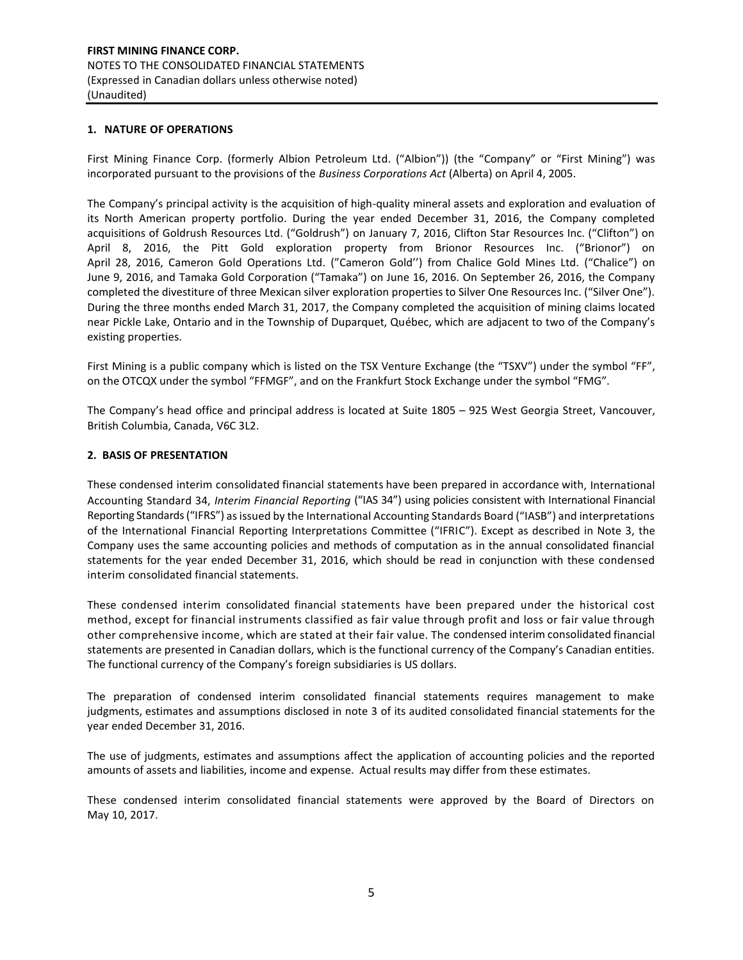#### **1. NATURE OF OPERATIONS**

First Mining Finance Corp. (formerly Albion Petroleum Ltd. ("Albion")) (the "Company" or "First Mining") was incorporated pursuant to the provisions of the *Business Corporations Act* (Alberta) on April 4, 2005.

The Company's principal activity is the acquisition of high-quality mineral assets and exploration and evaluation of its North American property portfolio. During the year ended December 31, 2016, the Company completed acquisitions of Goldrush Resources Ltd. ("Goldrush") on January 7, 2016, Clifton Star Resources Inc. ("Clifton") on April 8, 2016, the Pitt Gold exploration property from Brionor Resources Inc. ("Brionor") on April 28, 2016, Cameron Gold Operations Ltd. ("Cameron Gold'') from Chalice Gold Mines Ltd. ("Chalice") on June 9, 2016, and Tamaka Gold Corporation ("Tamaka") on June 16, 2016. On September 26, 2016, the Company completed the divestiture of three Mexican silver exploration properties to Silver One Resources Inc. ("Silver One"). During the three months ended March 31, 2017, the Company completed the acquisition of mining claims located near Pickle Lake, Ontario and in the Township of Duparquet, Québec, which are adjacent to two of the Company's existing properties.

First Mining is a public company which is listed on the TSX Venture Exchange (the "TSXV") under the symbol "FF", on the OTCQX under the symbol "FFMGF", and on the Frankfurt Stock Exchange under the symbol "FMG".

The Company's head office and principal address is located at Suite 1805 – 925 West Georgia Street, Vancouver, British Columbia, Canada, V6C 3L2.

## **2. BASIS OF PRESENTATION**

These condensed interim consolidated financial statements have been prepared in accordance with, International Accounting Standard 34, *Interim Financial Reporting* ("IAS 34") using policies consistent with International Financial Reporting Standards ("IFRS") as issued by the International Accounting Standards Board ("IASB") and interpretations of the International Financial Reporting Interpretations Committee ("IFRIC"). Except as described in Note 3, the Company uses the same accounting policies and methods of computation as in the annual consolidated financial statements for the year ended December 31, 2016, which should be read in conjunction with these condensed interim consolidated financial statements.

These condensed interim consolidated financial statements have been prepared under the historical cost method, except for financial instruments classified as fair value through profit and loss or fair value through other comprehensive income, which are stated at their fair value. The condensed interim consolidated financial statements are presented in Canadian dollars, which is the functional currency of the Company's Canadian entities. The functional currency of the Company's foreign subsidiaries is US dollars.

The preparation of condensed interim consolidated financial statements requires management to make judgments, estimates and assumptions disclosed in note 3 of its audited consolidated financial statements for the year ended December 31, 2016.

The use of judgments, estimates and assumptions affect the application of accounting policies and the reported amounts of assets and liabilities, income and expense. Actual results may differ from these estimates.

These condensed interim consolidated financial statements were approved by the Board of Directors on May 10, 2017.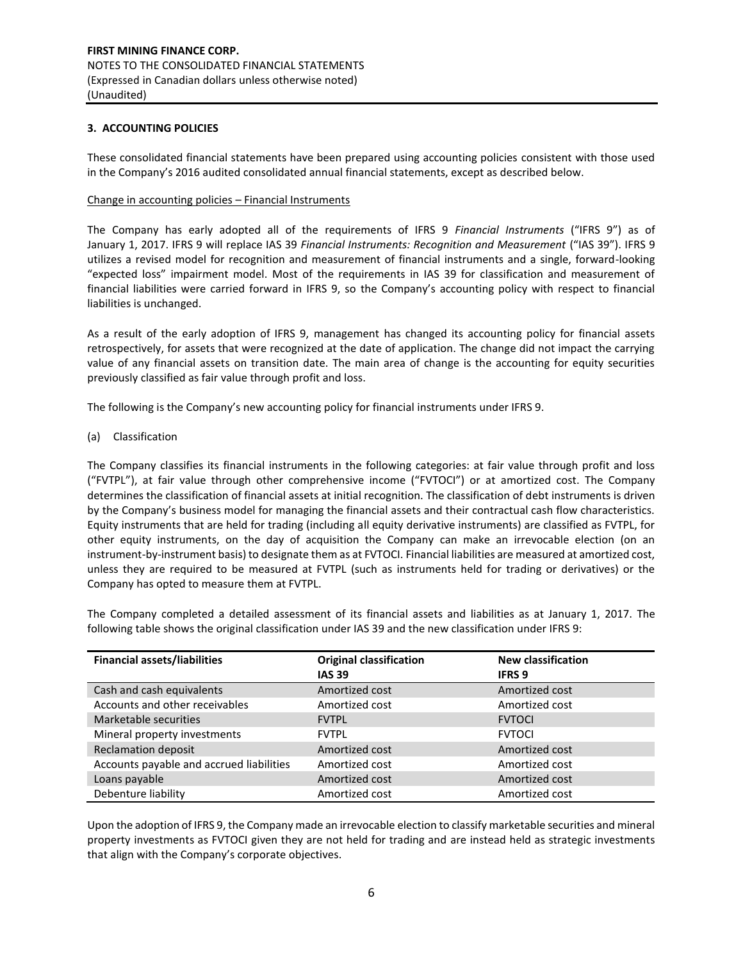## **3. ACCOUNTING POLICIES**

These consolidated financial statements have been prepared using accounting policies consistent with those used in the Company's 2016 audited consolidated annual financial statements, except as described below.

#### Change in accounting policies – Financial Instruments

The Company has early adopted all of the requirements of IFRS 9 *Financial Instruments* ("IFRS 9") as of January 1, 2017. IFRS 9 will replace IAS 39 *Financial Instruments: Recognition and Measurement* ("IAS 39"). IFRS 9 utilizes a revised model for recognition and measurement of financial instruments and a single, forward-looking "expected loss" impairment model. Most of the requirements in IAS 39 for classification and measurement of financial liabilities were carried forward in IFRS 9, so the Company's accounting policy with respect to financial liabilities is unchanged.

As a result of the early adoption of IFRS 9, management has changed its accounting policy for financial assets retrospectively, for assets that were recognized at the date of application. The change did not impact the carrying value of any financial assets on transition date. The main area of change is the accounting for equity securities previously classified as fair value through profit and loss.

The following is the Company's new accounting policy for financial instruments under IFRS 9.

(a) Classification

The Company classifies its financial instruments in the following categories: at fair value through profit and loss ("FVTPL"), at fair value through other comprehensive income ("FVTOCI") or at amortized cost. The Company determines the classification of financial assets at initial recognition. The classification of debt instruments is driven by the Company's business model for managing the financial assets and their contractual cash flow characteristics. Equity instruments that are held for trading (including all equity derivative instruments) are classified as FVTPL, for other equity instruments, on the day of acquisition the Company can make an irrevocable election (on an instrument-by-instrument basis) to designate them as at FVTOCI. Financial liabilities are measured at amortized cost, unless they are required to be measured at FVTPL (such as instruments held for trading or derivatives) or the Company has opted to measure them at FVTPL.

The Company completed a detailed assessment of its financial assets and liabilities as at January 1, 2017. The following table shows the original classification under IAS 39 and the new classification under IFRS 9:

| <b>Financial assets/liabilities</b>      | <b>Original classification</b> | <b>New classification</b> |
|------------------------------------------|--------------------------------|---------------------------|
|                                          | <b>IAS 39</b>                  | <b>IFRS 9</b>             |
| Cash and cash equivalents                | Amortized cost                 | Amortized cost            |
| Accounts and other receivables           | Amortized cost                 | Amortized cost            |
| Marketable securities                    | <b>FVTPL</b>                   | <b>FVTOCI</b>             |
| Mineral property investments             | <b>FVTPL</b>                   | <b>FVTOCI</b>             |
| <b>Reclamation deposit</b>               | Amortized cost                 | Amortized cost            |
| Accounts payable and accrued liabilities | Amortized cost                 | Amortized cost            |
| Loans payable                            | Amortized cost                 | Amortized cost            |
| Debenture liability                      | Amortized cost                 | Amortized cost            |

Upon the adoption of IFRS 9, the Company made an irrevocable election to classify marketable securities and mineral property investments as FVTOCI given they are not held for trading and are instead held as strategic investments that align with the Company's corporate objectives.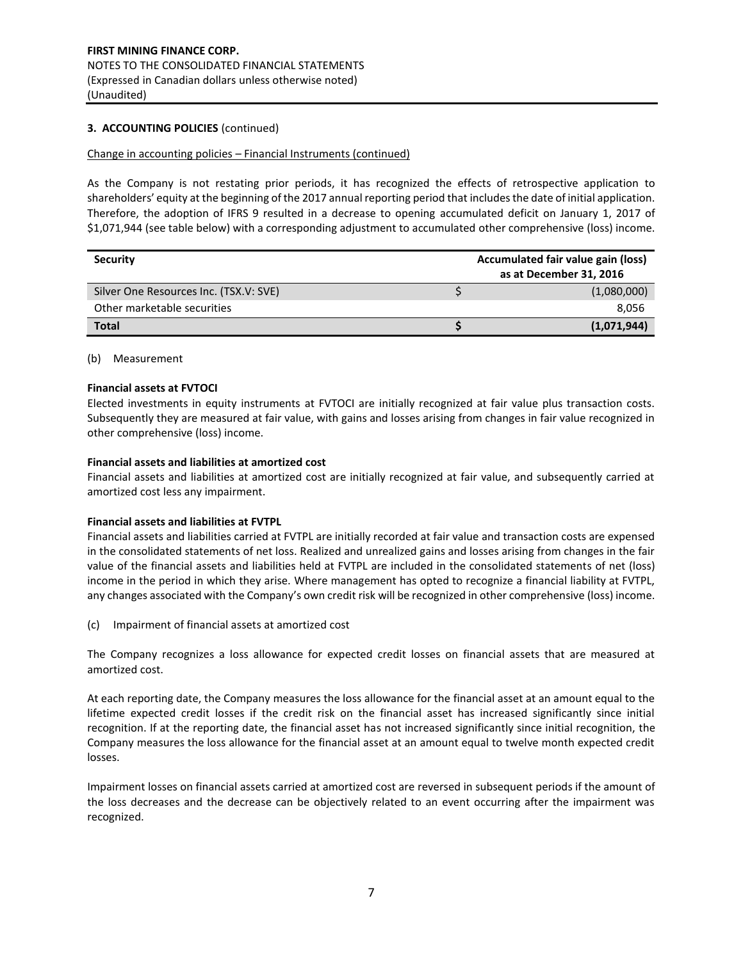## **3. ACCOUNTING POLICIES** (continued)

#### Change in accounting policies – Financial Instruments (continued)

As the Company is not restating prior periods, it has recognized the effects of retrospective application to shareholders' equity at the beginning of the 2017 annual reporting period that includes the date of initial application. Therefore, the adoption of IFRS 9 resulted in a decrease to opening accumulated deficit on January 1, 2017 of \$1,071,944 (see table below) with a corresponding adjustment to accumulated other comprehensive (loss) income.

| <b>Security</b>                        | <b>Accumulated fair value gain (loss)</b><br>as at December 31, 2016 |
|----------------------------------------|----------------------------------------------------------------------|
| Silver One Resources Inc. (TSX.V: SVE) | (1,080,000)                                                          |
| Other marketable securities            | 8,056                                                                |
| <b>Total</b>                           | (1,071,944)                                                          |

#### (b) Measurement

#### **Financial assets at FVTOCI**

Elected investments in equity instruments at FVTOCI are initially recognized at fair value plus transaction costs. Subsequently they are measured at fair value, with gains and losses arising from changes in fair value recognized in other comprehensive (loss) income.

#### **Financial assets and liabilities at amortized cost**

Financial assets and liabilities at amortized cost are initially recognized at fair value, and subsequently carried at amortized cost less any impairment.

#### **Financial assets and liabilities at FVTPL**

Financial assets and liabilities carried at FVTPL are initially recorded at fair value and transaction costs are expensed in the consolidated statements of net loss. Realized and unrealized gains and losses arising from changes in the fair value of the financial assets and liabilities held at FVTPL are included in the consolidated statements of net (loss) income in the period in which they arise. Where management has opted to recognize a financial liability at FVTPL, any changes associated with the Company's own credit risk will be recognized in other comprehensive (loss) income.

(c) Impairment of financial assets at amortized cost

The Company recognizes a loss allowance for expected credit losses on financial assets that are measured at amortized cost.

At each reporting date, the Company measures the loss allowance for the financial asset at an amount equal to the lifetime expected credit losses if the credit risk on the financial asset has increased significantly since initial recognition. If at the reporting date, the financial asset has not increased significantly since initial recognition, the Company measures the loss allowance for the financial asset at an amount equal to twelve month expected credit losses.

Impairment losses on financial assets carried at amortized cost are reversed in subsequent periods if the amount of the loss decreases and the decrease can be objectively related to an event occurring after the impairment was recognized.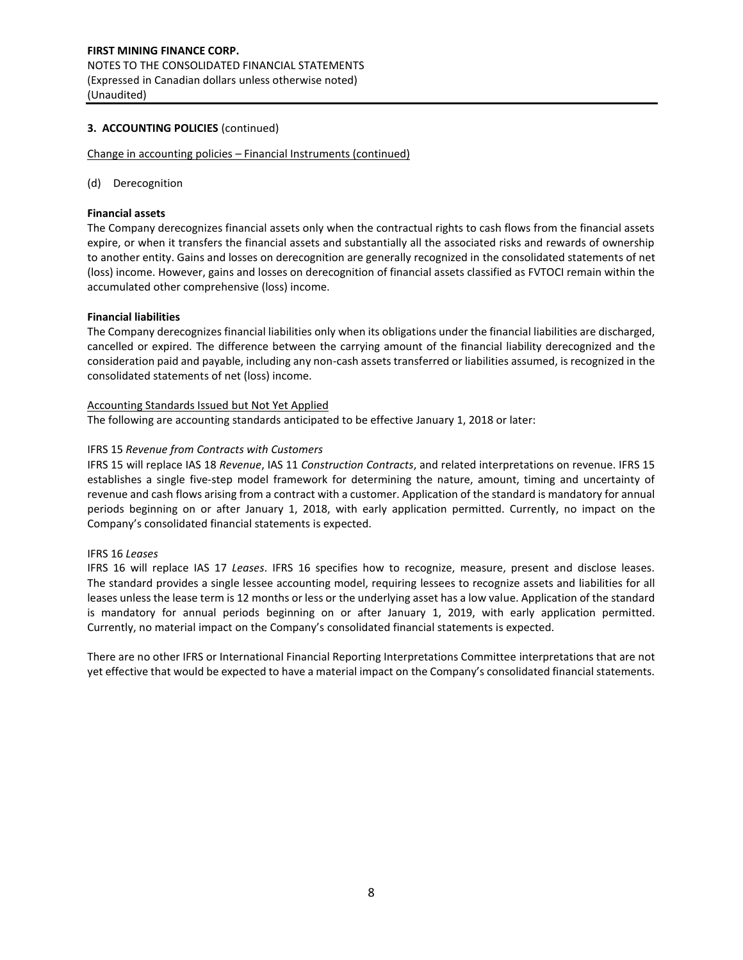## **3. ACCOUNTING POLICIES** (continued)

Change in accounting policies – Financial Instruments (continued)

(d) Derecognition

#### **Financial assets**

The Company derecognizes financial assets only when the contractual rights to cash flows from the financial assets expire, or when it transfers the financial assets and substantially all the associated risks and rewards of ownership to another entity. Gains and losses on derecognition are generally recognized in the consolidated statements of net (loss) income. However, gains and losses on derecognition of financial assets classified as FVTOCI remain within the accumulated other comprehensive (loss) income.

#### **Financial liabilities**

The Company derecognizes financial liabilities only when its obligations under the financial liabilities are discharged, cancelled or expired. The difference between the carrying amount of the financial liability derecognized and the consideration paid and payable, including any non-cash assets transferred or liabilities assumed, is recognized in the consolidated statements of net (loss) income.

#### Accounting Standards Issued but Not Yet Applied

The following are accounting standards anticipated to be effective January 1, 2018 or later:

## IFRS 15 *Revenue from Contracts with Customers*

IFRS 15 will replace IAS 18 *Revenue*, IAS 11 *Construction Contracts*, and related interpretations on revenue. IFRS 15 establishes a single five‐step model framework for determining the nature, amount, timing and uncertainty of revenue and cash flows arising from a contract with a customer. Application of the standard is mandatory for annual periods beginning on or after January 1, 2018, with early application permitted. Currently, no impact on the Company's consolidated financial statements is expected.

#### IFRS 16 *Leases*

IFRS 16 will replace IAS 17 *Leases*. IFRS 16 specifies how to recognize, measure, present and disclose leases. The standard provides a single lessee accounting model, requiring lessees to recognize assets and liabilities for all leases unless the lease term is 12 months or less or the underlying asset has a low value. Application of the standard is mandatory for annual periods beginning on or after January 1, 2019, with early application permitted. Currently, no material impact on the Company's consolidated financial statements is expected.

There are no other IFRS or International Financial Reporting Interpretations Committee interpretations that are not yet effective that would be expected to have a material impact on the Company's consolidated financial statements.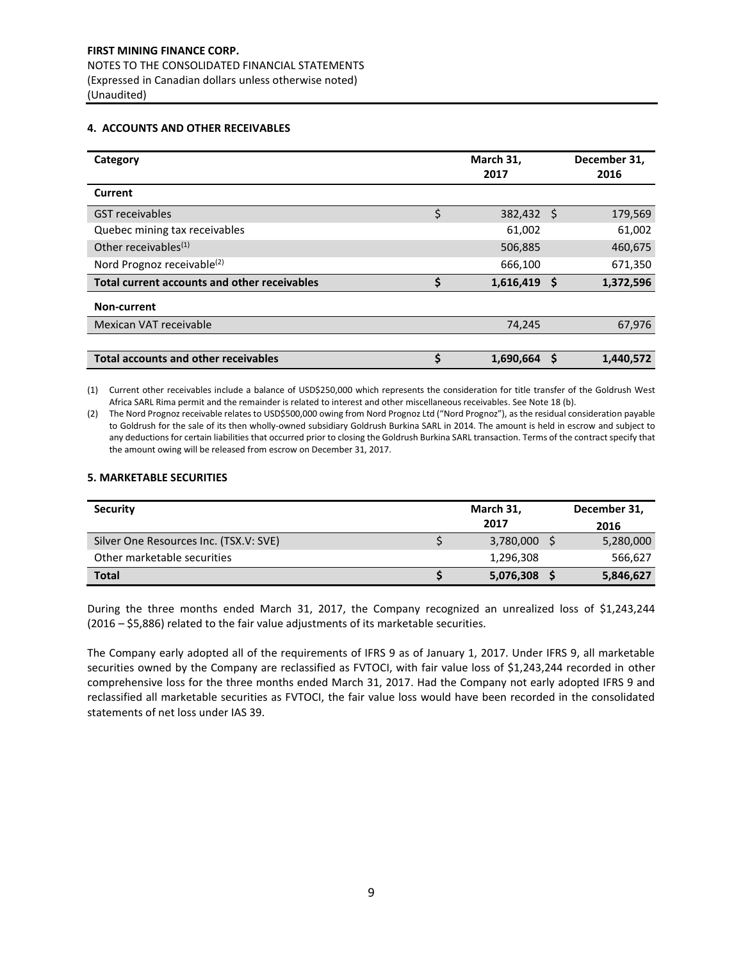#### **4. ACCOUNTS AND OTHER RECEIVABLES**

| Category                                     | March 31,<br>2017 |   | December 31,<br>2016 |
|----------------------------------------------|-------------------|---|----------------------|
| Current                                      |                   |   |                      |
| <b>GST</b> receivables                       | \$<br>382,432 \$  |   | 179,569              |
| Quebec mining tax receivables                | 61,002            |   | 61,002               |
| Other receivables $(1)$                      | 506,885           |   | 460,675              |
| Nord Prognoz receivable <sup>(2)</sup>       | 666,100           |   | 671,350              |
| Total current accounts and other receivables | \$<br>1,616,419   | S | 1,372,596            |
| Non-current                                  |                   |   |                      |
| Mexican VAT receivable                       | 74,245            |   | 67,976               |
|                                              |                   |   |                      |
| <b>Total accounts and other receivables</b>  | 1,690,664         |   | 1,440,572            |

(1) Current other receivables include a balance of USD\$250,000 which represents the consideration for title transfer of the Goldrush West Africa SARL Rima permit and the remainder is related to interest and other miscellaneous receivables. See Note 18 (b).

(2) The Nord Prognoz receivable relates to USD\$500,000 owing from Nord Prognoz Ltd ("Nord Prognoz"), as the residual consideration payable to Goldrush for the sale of its then wholly-owned subsidiary Goldrush Burkina SARL in 2014. The amount is held in escrow and subject to any deductions for certain liabilities that occurred prior to closing the Goldrush Burkina SARL transaction. Terms of the contract specify that the amount owing will be released from escrow on December 31, 2017.

#### **5. MARKETABLE SECURITIES**

| <b>Security</b>                        | March 31,    | December 31, |
|----------------------------------------|--------------|--------------|
|                                        | 2017         | 2016         |
| Silver One Resources Inc. (TSX.V: SVE) | 3,780,000 \$ | 5,280,000    |
| Other marketable securities            | 1,296,308    | 566,627      |
| <b>Total</b>                           | 5,076,308    | 5,846,627    |

During the three months ended March 31, 2017, the Company recognized an unrealized loss of \$1,243,244 (2016 – \$5,886) related to the fair value adjustments of its marketable securities.

The Company early adopted all of the requirements of IFRS 9 as of January 1, 2017. Under IFRS 9, all marketable securities owned by the Company are reclassified as FVTOCI, with fair value loss of \$1,243,244 recorded in other comprehensive loss for the three months ended March 31, 2017. Had the Company not early adopted IFRS 9 and reclassified all marketable securities as FVTOCI, the fair value loss would have been recorded in the consolidated statements of net loss under IAS 39.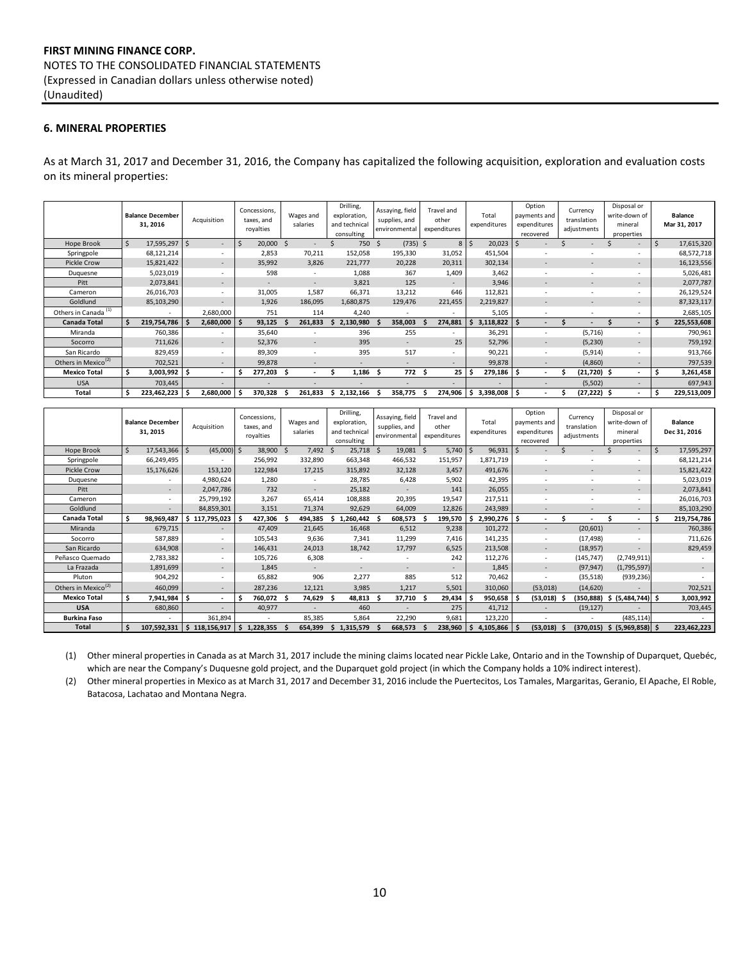## **FIRST MINING FINANCE CORP.** NOTES TO THE CONSOLIDATED FINANCIAL STATEMENTS (Expressed in Canadian dollars unless otherwise noted) (Unaudited)

#### **6. MINERAL PROPERTIES**

As at March 31, 2017 and December 31, 2016, the Company has capitalized the following acquisition, exploration and evaluation costs on its mineral properties:

|                                 |    | <b>Balance December</b><br>31, 2016 |     | Acquisition              |    | Concessions,<br>taxes, and<br>royalties |     | Wages and<br>salaries    |   | Drilling,<br>exploration,<br>and technical<br>consulting | Assaying, field<br>supplies, and<br>environmental |     | Travel and<br>other<br>expenditures |    | Total<br>expenditures |    | Option<br>payments and<br>expenditures<br>recovered | Currency<br>translation<br>adjustments | Disposal or<br>write-down of<br>mineral<br>properties |    | <b>Balance</b><br>Mar 31, 2017 |
|---------------------------------|----|-------------------------------------|-----|--------------------------|----|-----------------------------------------|-----|--------------------------|---|----------------------------------------------------------|---------------------------------------------------|-----|-------------------------------------|----|-----------------------|----|-----------------------------------------------------|----------------------------------------|-------------------------------------------------------|----|--------------------------------|
| Hope Brook                      | -Ś | 17,595,297 \$                       |     | $\sim$                   | -S | 20,000                                  | \$. |                          |   | 750 \$                                                   | $(735)$ \$                                        |     | $8$   \$                            |    | 20,023                |    |                                                     |                                        | $\sim$                                                | -S | 17,615,320                     |
| Springpole                      |    | 68,121,214                          |     | $\sim$                   |    | 2,853                                   |     | 70,211                   |   | 152,058                                                  | 195,330                                           |     | 31,052                              |    | 451,504               |    |                                                     |                                        | $\sim$                                                |    | 68,572,718                     |
| <b>Pickle Crow</b>              |    | 15,821,422                          |     |                          |    | 35,992                                  |     | 3,826                    |   | 221,777                                                  | 20,228                                            |     | 20,311                              |    | 302,134               |    |                                                     |                                        | $\sim$                                                |    | 16,123,556                     |
| Duquesne                        |    | 5,023,019                           |     | $\sim$                   |    | 598                                     |     |                          |   | 1,088                                                    | 367                                               |     | 1,409                               |    | 3,462                 |    |                                                     |                                        | $\sim$                                                |    | 5,026,481                      |
| Pitt                            |    | 2,073,841                           |     | $\sim$                   |    |                                         |     | $\overline{\phantom{a}}$ |   | 3,821                                                    | 125                                               |     |                                     |    | 3,946                 |    |                                                     |                                        | $\overline{\phantom{a}}$                              |    | 2,077,787                      |
| Cameron                         |    | 26,016,703                          |     | $\sim$                   |    | 31,005                                  |     | 1,587                    |   | 66,371                                                   | 13,212                                            |     | 646                                 |    | 112,821               |    | $\overline{\phantom{a}}$                            |                                        | $\overline{\phantom{a}}$                              |    | 26,129,524                     |
| Goldlund                        |    | 85,103,290                          |     | $\overline{\phantom{a}}$ |    | 1,926                                   |     | 186,095                  |   | 1,680,875                                                | 129,476                                           |     | 221,455                             |    | 2,219,827             |    | $\overline{\phantom{a}}$                            | $\overline{a}$                         | $\overline{\phantom{a}}$                              |    | 87,323,117                     |
| Others in Canada <sup>(1)</sup> |    | $\overline{\phantom{a}}$            |     | 2,680,000                |    | 751                                     |     | 114                      |   | 4,240                                                    | $\overline{\phantom{a}}$                          |     |                                     |    | 5,105                 |    |                                                     |                                        | $\overline{\phantom{a}}$                              |    | 2,685,105                      |
| <b>Canada Total</b>             |    | 219,754,786                         |     | 2,680,000                |    | 93,125                                  |     | 261,833                  |   | 2,130,980                                                | 358,003                                           |     | 274,881                             | .s | 3,118,822             | S  |                                                     |                                        | $\sim$                                                | \$ | 225,553,608                    |
| Miranda                         |    | 760,386                             |     | ۰.                       |    | 35,640                                  |     |                          |   | 396                                                      | 255                                               |     |                                     |    | 36,291                |    |                                                     | (5,716)                                | $\sim$                                                |    | 790,961                        |
| Socorro                         |    | 711,626                             |     | $\sim$                   |    | 52,376                                  |     | $\overline{\phantom{a}}$ |   | 395                                                      | $\sim$                                            |     | 25                                  |    | 52,796                |    | $\sim$                                              | (5,230)                                | $\overline{\phantom{a}}$                              |    | 759,192                        |
| San Ricardo                     |    | 829,459                             |     |                          |    | 89,309                                  |     | $\overline{\phantom{a}}$ |   | 395                                                      | 517                                               |     |                                     |    | 90,221                |    |                                                     | (5, 914)                               | $\sim$                                                |    | 913,766                        |
| Others in Mexico <sup>(2)</sup> |    | 702,521                             |     |                          |    | 99,878                                  |     |                          |   |                                                          |                                                   |     |                                     |    | 99,878                |    |                                                     | (4,860)                                | $\overline{\phantom{a}}$                              |    | 797,539                        |
| <b>Mexico Total</b>             |    | 3,003,992                           | \$. | ۰.                       |    | 277,203                                 |     | $\sim$                   |   | 1,186                                                    | 772 \$                                            |     | 25                                  |    | 279,186               | -S |                                                     | (21,720)                               | $\overline{\phantom{a}}$                              | s  | 3,261,458                      |
| <b>USA</b>                      |    | 703,445                             |     |                          |    |                                         |     |                          |   |                                                          |                                                   |     |                                     |    |                       |    |                                                     | (5,502)                                | $\overline{\phantom{a}}$                              |    | 697,943                        |
| Total                           | \$ | 223,462,223                         |     | 2,680,000                |    | 370,328                                 |     | 261,833                  | s | 2,132,166                                                | 358,775                                           | - S | 274,906                             | -S | $3,398,008$ \$        |    |                                                     | (27, 222)                              | $\overline{\phantom{a}}$                              | S  | 229,513,009                    |

|                                 |    | <b>Balance December</b><br>31, 2015 |   | Acquisition              |    | Concessions,<br>taxes, and<br>royalties | Wages and<br>salaries    | Drilling,<br>exploration.<br>and technical<br>consulting |    | Assaying, field<br>supplies, and<br>environmental |    | Travel and<br>other<br>expenditures | Total<br>expenditures |    | Option<br>payments and<br>expenditures<br>recovered |  | Currency<br>translation<br>adjustments |  | Disposal or<br>write-down of<br>mineral<br>properties |     | <b>Balance</b><br>Dec 31, 2016 |
|---------------------------------|----|-------------------------------------|---|--------------------------|----|-----------------------------------------|--------------------------|----------------------------------------------------------|----|---------------------------------------------------|----|-------------------------------------|-----------------------|----|-----------------------------------------------------|--|----------------------------------------|--|-------------------------------------------------------|-----|--------------------------------|
| <b>Hope Brook</b>               | Ŝ. | 17,543,366                          | Ś | $(45,000)$ \$            |    | 38,900 \$                               | 7,492 \$                 | 25,718 \$                                                |    | 19,081 \$                                         |    | 5,740                               | 96,931                | S  | $\overline{\phantom{a}}$                            |  |                                        |  | $\sim$                                                | -S  | 17,595,297                     |
| Springpole                      |    | 66,249,495                          |   |                          |    | 256,992                                 | 332,890                  | 663,348                                                  |    | 466,532                                           |    | 151,957                             | 1,871,719             |    |                                                     |  |                                        |  | $\sim$                                                |     | 68,121,214                     |
| <b>Pickle Crow</b>              |    | 15,176,626                          |   | 153,120                  |    | 122,984                                 | 17,215                   | 315,892                                                  |    | 32,128                                            |    | 3,457                               | 491,676               |    |                                                     |  |                                        |  | $\overline{\phantom{a}}$                              |     | 15,821,422                     |
| Duquesne                        |    |                                     |   | 4,980,624                |    | 1,280                                   | ٠                        | 28,785                                                   |    | 6,428                                             |    | 5,902                               | 42,395                |    |                                                     |  |                                        |  | $\sim$                                                |     | 5,023,019                      |
| Pitt                            |    | $\sim$                              |   | 2,047,786                |    | 732                                     | $\overline{\phantom{a}}$ | 25,182                                                   |    |                                                   |    | 141                                 | 26,055                |    |                                                     |  |                                        |  | $\sim$                                                |     | 2,073,841                      |
| Cameron                         |    | $\overline{\phantom{a}}$            |   | 25,799,192               |    | 3,267                                   | 65,414                   | 108,888                                                  |    | 20,395                                            |    | 19,547                              | 217,511               |    |                                                     |  | $\overline{\phantom{a}}$               |  | $\sim$                                                |     | 26,016,703                     |
| Goldlund                        |    | $\overline{\phantom{a}}$            |   | 84,859,301               |    | 3,151                                   | 71,374                   | 92,629                                                   |    | 64,009                                            |    | 12,826                              | 243,989               |    |                                                     |  |                                        |  | $\overline{\phantom{a}}$                              |     | 85,103,290                     |
| Canada Total                    | Ś  | 98,969,487                          |   | 117,795,023              |    | 427,306                                 | 494,385                  | 1,260,442                                                |    | 608,573                                           |    | 199,570                             | 2,990,276             | Ŝ. |                                                     |  |                                        |  | ٠                                                     | -\$ | 219,754,786                    |
| Miranda                         |    | 679,715                             |   |                          |    | 47,409                                  | 21,645                   | 16,468                                                   |    | 6,512                                             |    | 9,238                               | 101,272               |    | $\overline{\phantom{a}}$                            |  | (20, 601)                              |  | $\overline{\phantom{a}}$                              |     | 760,386                        |
| Socorro                         |    | 587,889                             |   | ٠                        |    | 105,543                                 | 9,636                    | 7,341                                                    |    | 11,299                                            |    | 7,416                               | 141,235               |    | $\overline{\phantom{a}}$                            |  | (17, 498)                              |  | $\sim$                                                |     | 711,626                        |
| San Ricardo                     |    | 634,908                             |   | $\overline{\phantom{a}}$ |    | 146,431                                 | 24,013                   | 18,742                                                   |    | 17,797                                            |    | 6,525                               | 213,508               |    | $\overline{\phantom{a}}$                            |  | (18, 957)                              |  |                                                       |     | 829,459                        |
| Peñasco Quemado                 |    | 2,783,382                           |   | ۰                        |    | 105,726                                 | 6,308                    | $\sim$                                                   |    | ۰                                                 |    | 242                                 | 112,276               |    | $\sim$                                              |  | (145, 747)                             |  | (2,749,911)                                           |     |                                |
| La Frazada                      |    | 1,891,699                           |   |                          |    | 1,845                                   | $\sim$                   | $\overline{\phantom{a}}$                                 |    | $\overline{\phantom{a}}$                          |    |                                     | 1,845                 |    | $\overline{\phantom{a}}$                            |  | (97, 947)                              |  | (1,795,597)                                           |     |                                |
| Pluton                          |    | 904,292                             |   | ٠                        |    | 65,882                                  | 906                      | 2,277                                                    |    | 885                                               |    | 512                                 | 70,462                |    | ٠                                                   |  | (35,518)                               |  | (939, 236)                                            |     |                                |
| Others in Mexico <sup>(2)</sup> |    | 460,099                             |   |                          |    | 287,236                                 | 12,121                   | 3,985                                                    |    | 1,217                                             |    | 5,501                               | 310,060               |    | (53,018)                                            |  | (14,620)                               |  |                                                       |     | 702,521                        |
| <b>Mexico Total</b>             | Ŝ  | 7,941,984                           | Ś | ٠.                       |    | 760,072                                 | 74,629                   | 48,813                                                   | Ŝ. | 37,710                                            | .S | 29,434                              | 950,658               |    | (53,018)                                            |  | (350,888)                              |  | \$ (5,484,744) \$                                     |     | 3,003,992                      |
| <b>USA</b>                      |    | 680,860                             |   |                          |    | 40,977                                  |                          | 460                                                      |    |                                                   |    | 275                                 | 41,712                |    |                                                     |  | (19, 127)                              |  |                                                       |     | 703,445                        |
| <b>Burkina Faso</b>             |    | $\overline{\phantom{a}}$            |   | 361,894                  |    |                                         | 85,385                   | 5,864                                                    |    | 22,290                                            |    | 9,681                               | 123,220               |    | ۰                                                   |  | ٠                                      |  | (485, 114)                                            |     |                                |
| Total                           | \$ | 107,592,331                         |   | 118,156,917              | Ŝ. | 1,228,355                               | 654,399                  | 1,315,579                                                | S  | 668,573                                           |    | 238,960                             | 4,105,866             | .S | (53,018)                                            |  | (370, 015)                             |  | \$ (5,969,858) \$                                     |     | 223,462,223                    |

(1) Other mineral properties in Canada as at March 31, 2017 include the mining claims located near Pickle Lake, Ontario and in the Township of Duparquet, Quebéc, which are near the Company's Duquesne gold project, and the Duparquet gold project (in which the Company holds a 10% indirect interest).

(2) Other mineral properties in Mexico as at March 31, 2017 and December 31, 2016 include the Puertecitos, Los Tamales, Margaritas, Geranio, El Apache, El Roble, Batacosa, Lachatao and Montana Negra.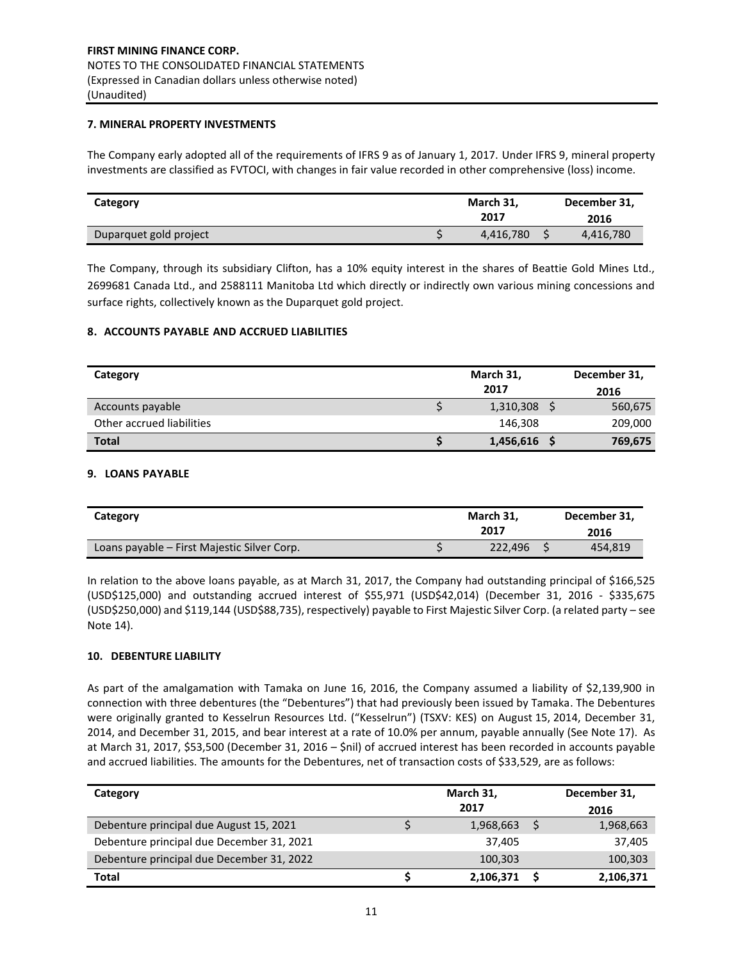## **7. MINERAL PROPERTY INVESTMENTS**

The Company early adopted all of the requirements of IFRS 9 as of January 1, 2017. Under IFRS 9, mineral property investments are classified as FVTOCI, with changes in fair value recorded in other comprehensive (loss) income.

| Category               | March 31,<br>2017 | December 31,<br>2016 |
|------------------------|-------------------|----------------------|
| Duparquet gold project | 4,416,780         | 4,416,780            |

The Company, through its subsidiary Clifton, has a 10% equity interest in the shares of Beattie Gold Mines Ltd., 2699681 Canada Ltd., and 2588111 Manitoba Ltd which directly or indirectly own various mining concessions and surface rights, collectively known as the Duparquet gold project.

## **8. ACCOUNTS PAYABLE AND ACCRUED LIABILITIES**

| Category                  | March 31,      | December 31, |
|---------------------------|----------------|--------------|
|                           | 2017           | 2016         |
| Accounts payable          | $1,310,308$ \$ | 560,675      |
| Other accrued liabilities | 146,308        | 209,000      |
| <b>Total</b>              | 1,456,616      | 769,675      |

## **9. LOANS PAYABLE**

| Category                                    | March 31.<br>2017 | December 31.<br>2016 |
|---------------------------------------------|-------------------|----------------------|
| Loans payable – First Majestic Silver Corp. | 222.496           | 454,819              |

In relation to the above loans payable, as at March 31, 2017, the Company had outstanding principal of \$166,525 (USD\$125,000) and outstanding accrued interest of \$55,971 (USD\$42,014) (December 31, 2016 - \$335,675 (USD\$250,000) and \$119,144 (USD\$88,735), respectively) payable to First Majestic Silver Corp. (a related party – see Note 14).

#### **10. DEBENTURE LIABILITY**

As part of the amalgamation with Tamaka on June 16, 2016, the Company assumed a liability of \$2,139,900 in connection with three debentures (the "Debentures") that had previously been issued by Tamaka. The Debentures were originally granted to Kesselrun Resources Ltd. ("Kesselrun") (TSXV: KES) on August 15, 2014, December 31, 2014, and December 31, 2015, and bear interest at a rate of 10.0% per annum, payable annually (See Note 17). As at March 31, 2017, \$53,500 (December 31, 2016 – \$nil) of accrued interest has been recorded in accounts payable and accrued liabilities. The amounts for the Debentures, net of transaction costs of \$33,529, are as follows:

| Category                                  | March 31, | December 31, |
|-------------------------------------------|-----------|--------------|
|                                           | 2017      | 2016         |
| Debenture principal due August 15, 2021   | 1,968,663 | 1,968,663    |
| Debenture principal due December 31, 2021 | 37.405    | 37.405       |
| Debenture principal due December 31, 2022 | 100,303   | 100,303      |
| <b>Total</b>                              | 2,106,371 | 2,106,371    |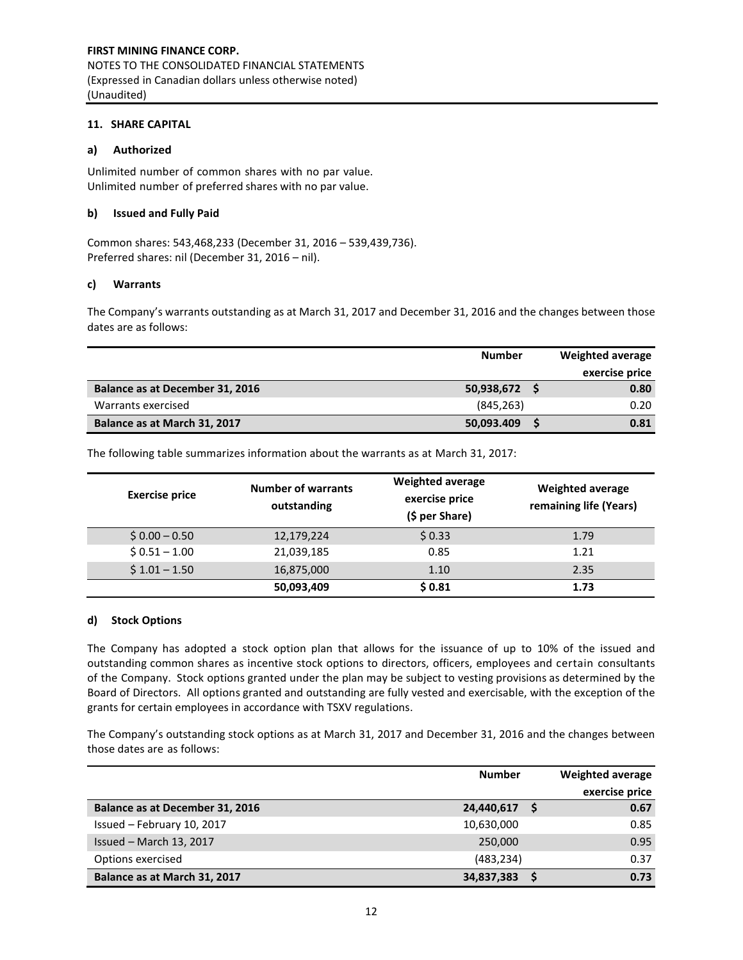#### **11. SHARE CAPITAL**

## **a) Authorized**

Unlimited number of common shares with no par value. Unlimited number of preferred shares with no par value.

## **b) Issued and Fully Paid**

Common shares: 543,468,233 (December 31, 2016 – 539,439,736). Preferred shares: nil (December 31, 2016 – nil).

## **c) Warrants**

The Company's warrants outstanding as at March 31, 2017 and December 31, 2016 and the changes between those dates are as follows:

|                                 | <b>Number</b> | Weighted average |
|---------------------------------|---------------|------------------|
|                                 |               | exercise price   |
| Balance as at December 31, 2016 | 50,938,672    | 0.80             |
| Warrants exercised              | (845, 263)    | 0.20             |
| Balance as at March 31, 2017    | 50,093.409    | 0.81             |

The following table summarizes information about the warrants as at March 31, 2017:

| <b>Exercise price</b> | <b>Number of warrants</b><br>outstanding | <b>Weighted average</b><br>exercise price<br>(\$ per Share) | Weighted average<br>remaining life (Years) |
|-----------------------|------------------------------------------|-------------------------------------------------------------|--------------------------------------------|
| $$0.00 - 0.50$        | 12,179,224                               | \$0.33                                                      | 1.79                                       |
| $$0.51 - 1.00$        | 21,039,185                               | 0.85                                                        | 1.21                                       |
| $$1.01 - 1.50$        | 16,875,000                               | 1.10                                                        | 2.35                                       |
|                       | 50,093,409                               | \$0.81                                                      | 1.73                                       |

#### **d) Stock Options**

The Company has adopted a stock option plan that allows for the issuance of up to 10% of the issued and outstanding common shares as incentive stock options to directors, officers, employees and certain consultants of the Company. Stock options granted under the plan may be subject to vesting provisions as determined by the Board of Directors. All options granted and outstanding are fully vested and exercisable, with the exception of the grants for certain employees in accordance with TSXV regulations.

The Company's outstanding stock options as at March 31, 2017 and December 31, 2016 and the changes between those dates are as follows:

|                                 | <b>Number</b> | <b>Weighted average</b> |
|---------------------------------|---------------|-------------------------|
|                                 |               | exercise price          |
| Balance as at December 31, 2016 | 24,440,617    | 0.67                    |
| Issued - February 10, 2017      | 10,630,000    | 0.85                    |
| Issued - March 13, 2017         | 250,000       | 0.95                    |
| Options exercised               | (483, 234)    | 0.37                    |
| Balance as at March 31, 2017    | 34,837,383    | 0.73                    |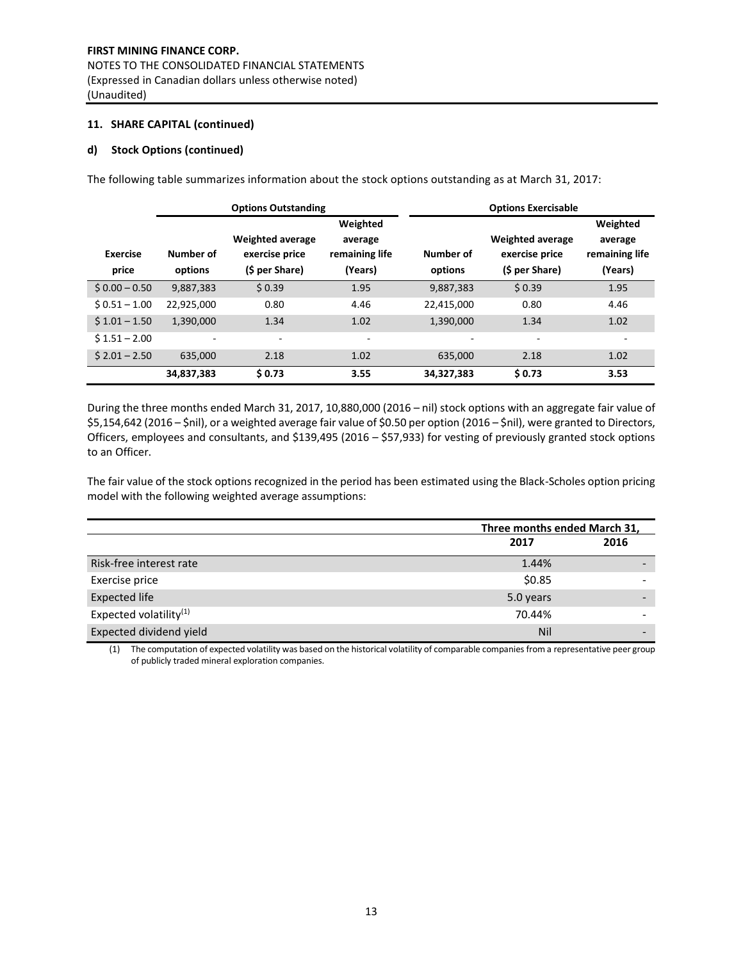## **11. SHARE CAPITAL (continued)**

## **d) Stock Options (continued)**

The following table summarizes information about the stock options outstanding as at March 31, 2017:

|                          |                          | <b>Options Outstanding</b>                                  |                                                  |                          | <b>Options Exercisable</b>                                  |                                                  |
|--------------------------|--------------------------|-------------------------------------------------------------|--------------------------------------------------|--------------------------|-------------------------------------------------------------|--------------------------------------------------|
| <b>Exercise</b><br>price | Number of<br>options     | <b>Weighted average</b><br>exercise price<br>(\$ per Share) | Weighted<br>average<br>remaining life<br>(Years) | Number of<br>options     | <b>Weighted average</b><br>exercise price<br>(\$ per Share) | Weighted<br>average<br>remaining life<br>(Years) |
| $$0.00 - 0.50$           | 9,887,383                | \$0.39                                                      | 1.95                                             | 9,887,383                | \$0.39                                                      | 1.95                                             |
| $$0.51 - 1.00$           | 22,925,000               | 0.80                                                        | 4.46                                             | 22,415,000               | 0.80                                                        | 4.46                                             |
| $$1.01 - 1.50$           | 1,390,000                | 1.34                                                        | 1.02                                             | 1,390,000                | 1.34                                                        | 1.02                                             |
| $$1.51 - 2.00$           | $\overline{\phantom{a}}$ | ۰                                                           | ۰                                                | $\overline{\phantom{a}}$ | $\overline{\phantom{a}}$                                    |                                                  |
| $$2.01 - 2.50$           | 635.000                  | 2.18                                                        | 1.02                                             | 635,000                  | 2.18                                                        | 1.02                                             |
|                          | 34,837,383               | \$0.73                                                      | 3.55                                             | 34,327,383               | \$0.73                                                      | 3.53                                             |

During the three months ended March 31, 2017, 10,880,000 (2016 – nil) stock options with an aggregate fair value of \$5,154,642 (2016 – \$nil), or a weighted average fair value of \$0.50 per option (2016 – \$nil), were granted to Directors, Officers, employees and consultants, and \$139,495 (2016 – \$57,933) for vesting of previously granted stock options to an Officer.

The fair value of the stock options recognized in the period has been estimated using the Black-Scholes option pricing model with the following weighted average assumptions:

|                                    | Three months ended March 31, |      |  |
|------------------------------------|------------------------------|------|--|
|                                    | 2017                         | 2016 |  |
| Risk-free interest rate            | 1.44%                        |      |  |
| Exercise price                     | \$0.85                       |      |  |
| <b>Expected life</b>               | 5.0 years                    |      |  |
| Expected volatility <sup>(1)</sup> | 70.44%                       |      |  |
| Expected dividend yield            | Nil                          |      |  |

(1) The computation of expected volatility was based on the historical volatility of comparable companies from a representative peer group of publicly traded mineral exploration companies.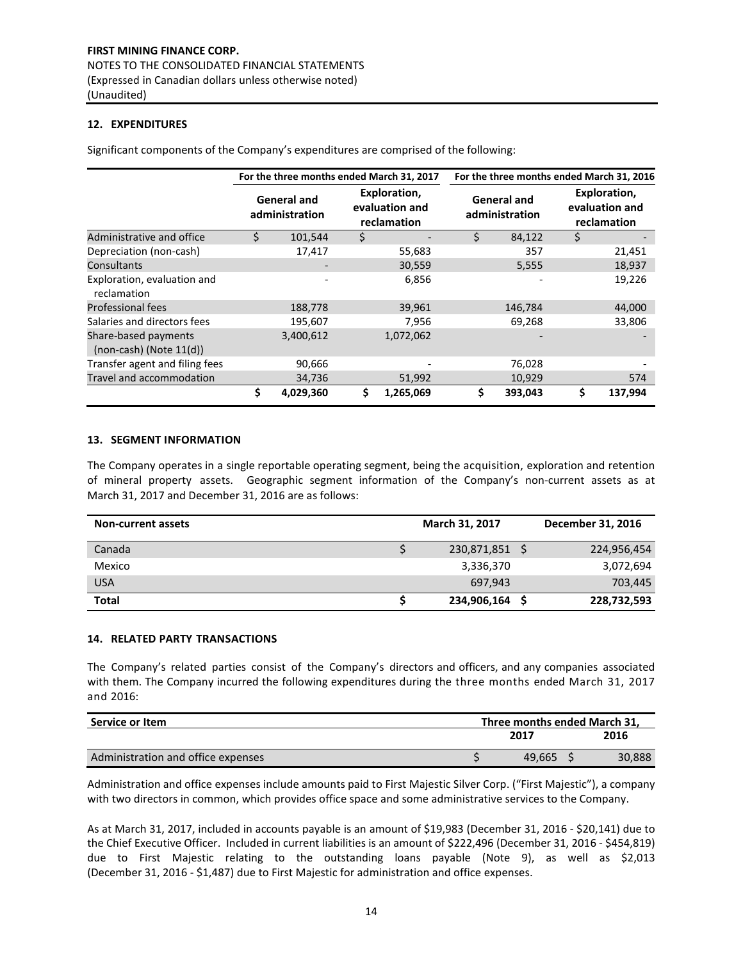## **12. EXPENDITURES**

Significant components of the Company's expenditures are comprised of the following:

|                                                      | For the three months ended March 31, 2017 |                                      |    |                                               |    | For the three months ended March 31, 2016 |    |                                               |  |
|------------------------------------------------------|-------------------------------------------|--------------------------------------|----|-----------------------------------------------|----|-------------------------------------------|----|-----------------------------------------------|--|
|                                                      |                                           | <b>General and</b><br>administration |    | Exploration,<br>evaluation and<br>reclamation |    | <b>General and</b><br>administration      |    | Exploration,<br>evaluation and<br>reclamation |  |
| Administrative and office                            | Ś.                                        | 101,544                              | \$ |                                               |    | 84,122                                    | \$ |                                               |  |
| Depreciation (non-cash)                              |                                           | 17,417                               |    | 55,683                                        |    | 357                                       |    | 21,451                                        |  |
| Consultants                                          |                                           |                                      |    | 30,559                                        |    | 5,555                                     |    | 18,937                                        |  |
| Exploration, evaluation and<br>reclamation           |                                           |                                      |    | 6,856                                         |    |                                           |    | 19,226                                        |  |
| <b>Professional fees</b>                             |                                           | 188,778                              |    | 39,961                                        |    | 146,784                                   |    | 44,000                                        |  |
| Salaries and directors fees                          |                                           | 195,607                              |    | 7,956                                         |    | 69,268                                    |    | 33,806                                        |  |
| Share-based payments<br>$(non-cash)$ (Note $11(d)$ ) |                                           | 3,400,612                            |    | 1,072,062                                     |    |                                           |    |                                               |  |
| Transfer agent and filing fees                       |                                           | 90,666                               |    |                                               |    | 76,028                                    |    |                                               |  |
| Travel and accommodation                             |                                           | 34,736                               |    | 51,992                                        |    | 10,929                                    |    | 574                                           |  |
|                                                      | \$                                        | 4,029,360                            | \$ | 1,265,069                                     | \$ | 393,043                                   | \$ | 137,994                                       |  |

## **13. SEGMENT INFORMATION**

The Company operates in a single reportable operating segment, being the acquisition, exploration and retention of mineral property assets. Geographic segment information of the Company's non-current assets as at March 31, 2017 and December 31, 2016 are as follows:

| <b>Non-current assets</b> | March 31, 2017 | December 31, 2016 |
|---------------------------|----------------|-------------------|
| Canada                    | 230,871,851    | 224,956,454       |
| Mexico                    | 3,336,370      | 3,072,694         |
| <b>USA</b>                | 697.943        | 703,445           |
| <b>Total</b>              | 234,906,164    | 228,732,593       |

## **14. RELATED PARTY TRANSACTIONS**

The Company's related parties consist of the Company's directors and officers, and any companies associated with them. The Company incurred the following expenditures during the three months ended March 31, 2017 and 2016:

| Service or Item                    |      | Three months ended March 31. |        |  |  |
|------------------------------------|------|------------------------------|--------|--|--|
|                                    | 2017 |                              | 2016   |  |  |
| Administration and office expenses |      | 49.665                       | 30,888 |  |  |

Administration and office expenses include amounts paid to First Majestic Silver Corp. ("First Majestic"), a company with two directors in common, which provides office space and some administrative services to the Company.

As at March 31, 2017, included in accounts payable is an amount of \$19,983 (December 31, 2016 - \$20,141) due to the Chief Executive Officer. Included in current liabilities is an amount of \$222,496 (December 31, 2016 - \$454,819) due to First Majestic relating to the outstanding loans payable (Note 9), as well as \$2,013 (December 31, 2016 - \$1,487) due to First Majestic for administration and office expenses.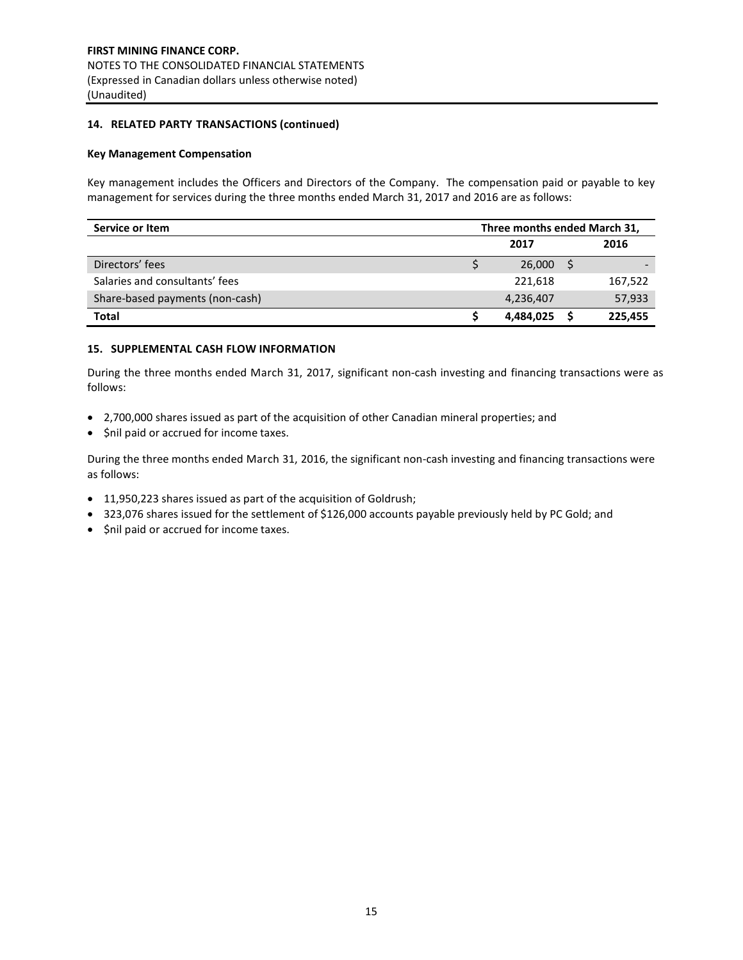## **14. RELATED PARTY TRANSACTIONS (continued)**

#### **Key Management Compensation**

Key management includes the Officers and Directors of the Company. The compensation paid or payable to key management for services during the three months ended March 31, 2017 and 2016 are as follows:

| Service or Item                 | Three months ended March 31, |           |  |         |
|---------------------------------|------------------------------|-----------|--|---------|
|                                 |                              | 2017      |  | 2016    |
| Directors' fees                 |                              | 26,000    |  |         |
| Salaries and consultants' fees  |                              | 221.618   |  | 167,522 |
| Share-based payments (non-cash) |                              | 4,236,407 |  | 57,933  |
| <b>Total</b>                    |                              | 4,484,025 |  | 225,455 |

## **15. SUPPLEMENTAL CASH FLOW INFORMATION**

During the three months ended March 31, 2017, significant non-cash investing and financing transactions were as follows:

- 2,700,000 shares issued as part of the acquisition of other Canadian mineral properties; and
- $\bullet$  \$nil paid or accrued for income taxes.

During the three months ended March 31, 2016, the significant non-cash investing and financing transactions were as follows:

- 11,950,223 shares issued as part of the acquisition of Goldrush;
- 323,076 shares issued for the settlement of \$126,000 accounts payable previously held by PC Gold; and
- $\bullet$  \$nil paid or accrued for income taxes.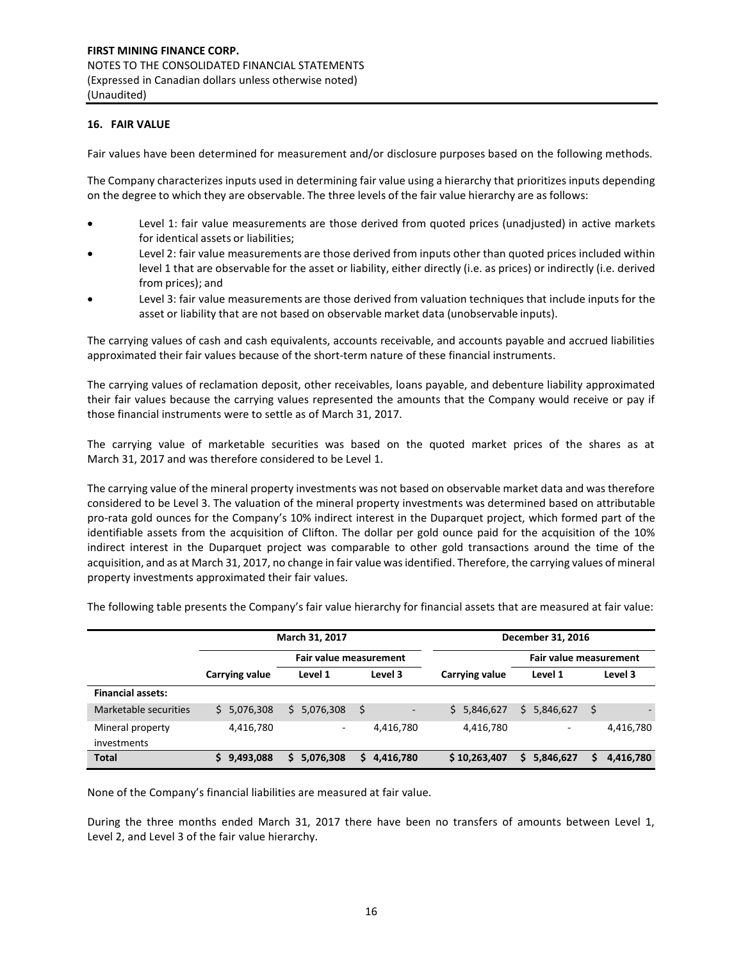## **16. FAIR VALUE**

Mineral property investments

Fair values have been determined for measurement and/or disclosure purposes based on the following methods.

The Company characterizes inputs used in determining fair value using a hierarchy that prioritizes inputs depending on the degree to which they are observable. The three levels of the fair value hierarchy are as follows:

- Level 1: fair value measurements are those derived from quoted prices (unadjusted) in active markets for identical assets or liabilities;
- Level 2: fair value measurements are those derived from inputs other than quoted prices included within level 1 that are observable for the asset or liability, either directly (i.e. as prices) or indirectly (i.e. derived from prices); and
- Level 3: fair value measurements are those derived from valuation techniques that include inputs for the asset or liability that are not based on observable market data (unobservable inputs).

The carrying values of cash and cash equivalents, accounts receivable, and accounts payable and accrued liabilities approximated their fair values because of the short-term nature of these financial instruments.

The carrying values of reclamation deposit, other receivables, loans payable, and debenture liability approximated their fair values because the carrying values represented the amounts that the Company would receive or pay if those financial instruments were to settle as of March 31, 2017.

The carrying value of marketable securities was based on the quoted market prices of the shares as at March 31, 2017 and was therefore considered to be Level 1.

The carrying value of the mineral property investments was not based on observable market data and was therefore considered to be Level 3. The valuation of the mineral property investments was determined based on attributable pro-rata gold ounces for the Company's 10% indirect interest in the Duparquet project, which formed part of the identifiable assets from the acquisition of Clifton. The dollar per gold ounce paid for the acquisition of the 10% indirect interest in the Duparquet project was comparable to other gold transactions around the time of the acquisition, and as at March 31, 2017, no change in fair value was identified. Therefore, the carrying values of mineral property investments approximated their fair values.

|  |                       | March 31, 2017         |         |                | December 31, 2016      |         |  |
|--|-----------------------|------------------------|---------|----------------|------------------------|---------|--|
|  | <b>Carrying value</b> | Fair value measurement |         |                | Fair value measurement |         |  |
|  |                       | Level 1                | Level 3 | Carrying value | Level 1                | Level 3 |  |

4,416,780 - 4,416,780 4,416,780 - 4,416,780

5,846,627

\$ -

Marketable securities  $\frac{1}{5}$  5,076,308 \$ 5,076,308 \$ - \$ 5,846,627 \$ 5,846,627

The following table presents the Company's fair value hierarchy for financial assets that are measured at fair value:

None of the Company's financial liabilities are measured at fair value.

During the three months ended March 31, 2017 there have been no transfers of amounts between Level 1, Level 2, and Level 3 of the fair value hierarchy.

**Total \$ 9,493,088 \$ 5,076,308 \$ 4,416,780 \$ 10,263,407 \$ 5,846,627 \$ 4,416,780**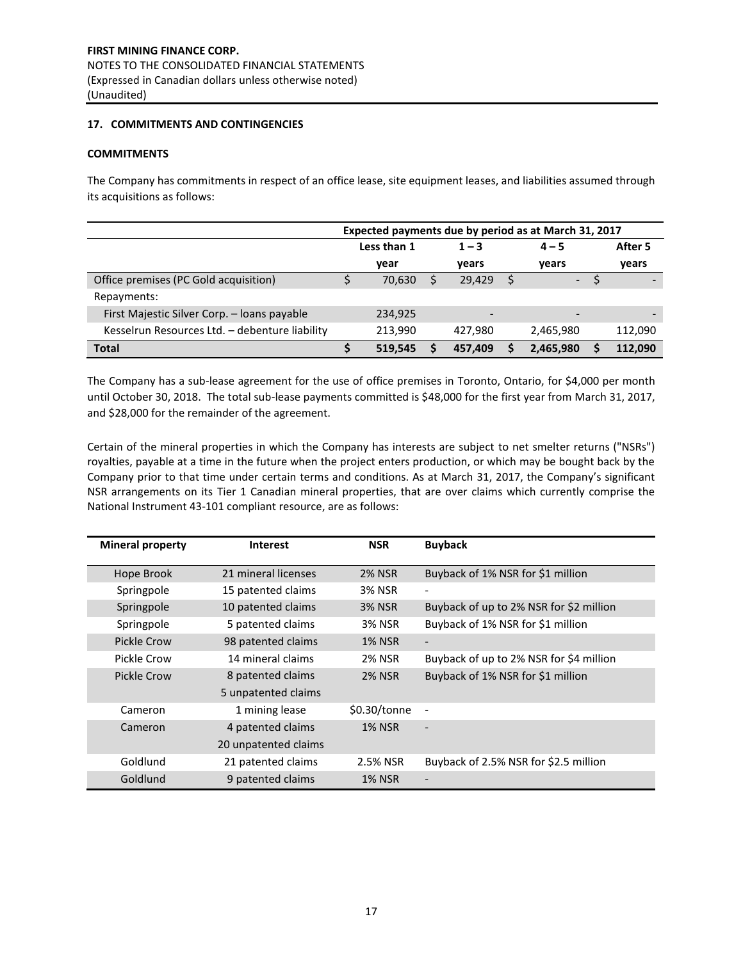## **17. COMMITMENTS AND CONTINGENCIES**

## **COMMITMENTS**

The Company has commitments in respect of an office lease, site equipment leases, and liabilities assumed through its acquisitions as follows:

|                                                | Expected payments due by period as at March 31, 2017 |             |  |                          |  |           |  |         |
|------------------------------------------------|------------------------------------------------------|-------------|--|--------------------------|--|-----------|--|---------|
|                                                |                                                      | Less than 1 |  | $1 - 3$                  |  | $4 - 5$   |  | After 5 |
|                                                |                                                      | vear        |  | years                    |  | years     |  | years   |
| Office premises (PC Gold acquisition)          |                                                      | 70,630      |  | 29,429                   |  | $-$       |  |         |
| Repayments:                                    |                                                      |             |  |                          |  |           |  |         |
| First Majestic Silver Corp. - Ioans payable    |                                                      | 234,925     |  | $\overline{\phantom{0}}$ |  |           |  |         |
| Kesselrun Resources Ltd. - debenture liability |                                                      | 213,990     |  | 427,980                  |  | 2,465,980 |  | 112,090 |
| <b>Total</b>                                   |                                                      | 519,545     |  | 457,409                  |  | 2,465,980 |  | 112.090 |

The Company has a sub-lease agreement for the use of office premises in Toronto, Ontario, for \$4,000 per month until October 30, 2018. The total sub-lease payments committed is \$48,000 for the first year from March 31, 2017, and \$28,000 for the remainder of the agreement.

Certain of the mineral properties in which the Company has interests are subject to net smelter returns ("NSRs") royalties, payable at a time in the future when the project enters production, or which may be bought back by the Company prior to that time under certain terms and conditions. As at March 31, 2017, the Company's significant NSR arrangements on its Tier 1 Canadian mineral properties, that are over claims which currently comprise the National Instrument 43-101 compliant resource, are as follows:

| <b>Mineral property</b> | <b>Interest</b>      | <b>NSR</b>    | <b>Buyback</b>                          |
|-------------------------|----------------------|---------------|-----------------------------------------|
| Hope Brook              | 21 mineral licenses  | <b>2% NSR</b> | Buyback of 1% NSR for \$1 million       |
| Springpole              | 15 patented claims   | <b>3% NSR</b> | $\overline{\phantom{a}}$                |
| Springpole              | 10 patented claims   | <b>3% NSR</b> | Buyback of up to 2% NSR for \$2 million |
| Springpole              | 5 patented claims    | <b>3% NSR</b> | Buyback of 1% NSR for \$1 million       |
| Pickle Crow             | 98 patented claims   | <b>1% NSR</b> | $\overline{\phantom{a}}$                |
| Pickle Crow             | 14 mineral claims    | 2% NSR        | Buyback of up to 2% NSR for \$4 million |
| Pickle Crow             | 8 patented claims    | <b>2% NSR</b> | Buyback of 1% NSR for \$1 million       |
|                         | 5 unpatented claims  |               |                                         |
| Cameron                 | 1 mining lease       | \$0.30/tonne  | $\overline{\phantom{a}}$                |
| Cameron                 | 4 patented claims    | <b>1% NSR</b> |                                         |
|                         | 20 unpatented claims |               |                                         |
| Goldlund                | 21 patented claims   | 2.5% NSR      | Buyback of 2.5% NSR for \$2.5 million   |
| Goldlund                | 9 patented claims    | <b>1% NSR</b> |                                         |